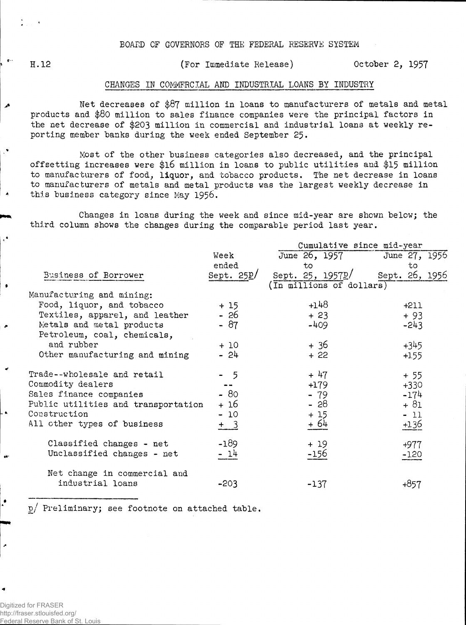BOARD OF GOVERNORS OF THE FEDERAL RESERVE SYSTEM

H.12 (For Immediate Release) October 2, 1957

## CHANGES IN COMMERCIAL AMD INDUSTRIAL LOANS BY INDUSTRY

Net decreases of \$87 million in loans to manufacturers of metals and metal products and \$80 million to sales finance companies were the principal factors in the net decrease of \$203 million in commercial and industrial loans at weekly reporting member banks during the week ended September 25.

Most of the other business categories also decreased, and the principal offsetting increases were \$l6 million in loans to public utilities and \$15 million to manufacturers of food, liquor, and tobacco products. The net decrease in loans to manufacturers of metals and metal products was the largest weekly decrease in this business category since May 1956.

Changes in loans during the week and since mid-year are shown below; the third column shows the changes during the comparable period last year.

|                                     |              | Cumulative since mid-year       |         |  |  |  |  |  |  |
|-------------------------------------|--------------|---------------------------------|---------|--|--|--|--|--|--|
|                                     | Week         | June 26, 1957 June 27, 1956     |         |  |  |  |  |  |  |
|                                     | ended        | to                              | to      |  |  |  |  |  |  |
| Business of Borrower                | Sept. $25L/$ | Sept. 25, 1957p/ Sept. 26, 1956 |         |  |  |  |  |  |  |
|                                     |              | (In millions of dollars)        |         |  |  |  |  |  |  |
| Manufacturing and mining:           |              |                                 |         |  |  |  |  |  |  |
| Food, liquor, and tobacco           | $+15$        | $+148$                          | $+211$  |  |  |  |  |  |  |
| Textiles, apparel, and leather      | $-26$        | $+23$                           | $+93$   |  |  |  |  |  |  |
| Metals and metal products           | $-87$        | -409                            | $-243$  |  |  |  |  |  |  |
| Petroleum, coal, chemicals,         |              |                                 |         |  |  |  |  |  |  |
| and rubber                          | $+10$        | + 36                            | $+345$  |  |  |  |  |  |  |
| Other manufacturing and mining      | $-24$        | $+22$                           | $+1.55$ |  |  |  |  |  |  |
| Trade--wholesale and retail         | $-5$         | $+47$                           | $+55$   |  |  |  |  |  |  |
| Commodity dealers                   |              | $+179$                          | $+330$  |  |  |  |  |  |  |
| Sales finance companies             | $-80$        | $-79$                           | $-174$  |  |  |  |  |  |  |
| Public utilities and transportation | + 16         | - 28                            | $+ 81$  |  |  |  |  |  |  |
| Construction                        | $-10$        | $+15$                           | $-11$   |  |  |  |  |  |  |
| All other types of business         | $+$ 3        | $+64$                           | $+1.36$ |  |  |  |  |  |  |
| Classified changes - net            | $-189$       | $+19$                           | $+977$  |  |  |  |  |  |  |
| Unclassified changes - net          | $-14$        | -156                            | $-120$  |  |  |  |  |  |  |
| Net change in commercial and        |              |                                 |         |  |  |  |  |  |  |
| industrial loans                    | $-203$       | $-137$                          | +857    |  |  |  |  |  |  |

p/ Preliminary; see footnote on attached table.